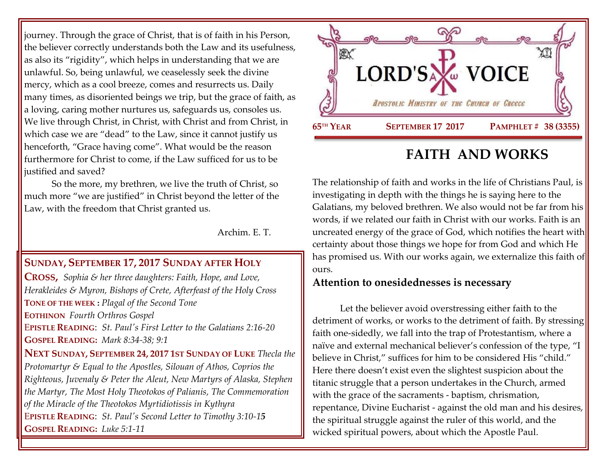journey. Through the grace of Christ, that is of faith in his Person, the believer correctly understands both the Law and its usefulness, as also its "rigidity", which helps in understanding that we are unlawful. So, being unlawful, we ceaselessly seek the divine mercy, which as a cool breeze, comes and resurrects us. Daily many times, as disoriented beings we trip, but the grace of faith, as a loving, caring mother nurtures us, safeguards us, consoles us. We live through Christ, in Christ, with Christ and from Christ, in which case we are "dead" to the Law, since it cannot justify us henceforth, "Grace having come". What would be the reason furthermore for Christ to come, if the Law sufficed for us to be justified and saved?

So the more, my brethren, we live the truth of Christ, so much more "we are justified" in Christ beyond the letter of the Law, with the freedom that Christ granted us.

Archim. E. T.

## **SUNDAY, SEPTEMBER 17, 2017 S[UNDAY AFTER](https://www.goarch.org/chapel/saints?contentid=1162&PCode=SAHC&D=S&date=9/17/2017) HOLY**

**C[ROSS](https://www.goarch.org/chapel/saints?contentid=1162&PCode=SAHC&D=S&date=9/17/2017),** *[Sophia & her three daughters: Faith, Hope, and Love,](https://www.goarch.org/chapel/saints?contentid=208)  Herakleides & Myron, Bishops of Crete, [Afterfeast of the Holy Cross](https://www.goarch.org/chapel/saints?contentid=2430)*  **TONE OF THE WEEK :** *Plagal of the Second Tone* **EOTHINON** *Fourth Orthros Gospel* E**PISTLE READING**: *[St. Paul's First Letter to the Galatians 2:16-20](https://www.goarch.org/chapel/lectionary?type=epistle&code=27&event=940&date=5/28/2017)* **GOSPEL R[EADING](https://www.goarch.org/chapel/lectionary?type=gospel&code=43&event=940&date=5/28/2017):** *Mark 8:34-38; 9:1* **NEXT SUNDAY, SEPTEMBER 24, 2017 1ST SUNDAY OF LUKE** *Thecla the Protomartyr & Equal to the Apostles, Silouan of Athos, Coprios the Righteous, Juvenaly & Peter the Aleut, New Martyrs of Alaska, Stephen the Martyr, The Most Holy Theotokos of Palianis, The Commemoration of the Miracle of the Theotokos Myrtidiotissis in Kythyra* E**PISTLE READING**: *[St. Paul's Second Letter to Timothy 3:10-1](https://www.goarch.org/chapel/lectionary?type=epistle&code=27&event=940&date=5/28/2017)5*  **GOSPEL R[EADING](https://www.goarch.org/chapel/lectionary?type=gospel&code=43&event=940&date=5/28/2017):** *Luke 5:1-11*



# **FAITH AND WORKS**

The relationship of faith and works in the life of Christians Paul, is investigating in depth with the things he is saying here to the Galatians, my beloved brethren. We also would not be far from his words, if we related our faith in Christ with our works. Faith is an uncreated energy of the grace of God, which notifies the heart with certainty about those things we hope for from God and which He has promised us. With our works again, we externalize this faith of ours.

## **Attention to onesidednesses is necessary**

Let the believer avoid overstressing either faith to the detriment of works, or works to the detriment of faith. By stressing faith one-sidedly, we fall into the trap of Protestantism, where a naïve and external mechanical believer's confession of the type, "I believe in Christ," suffices for him to be considered His "child." Here there doesn't exist even the slightest suspicion about the titanic struggle that a person undertakes in the Church, armed with the grace of the sacraments - baptism, chrismation, repentance, Divine Eucharist - against the old man and his desires, the spiritual struggle against the ruler of this world, and the wicked spiritual powers, about which the Apostle Paul.